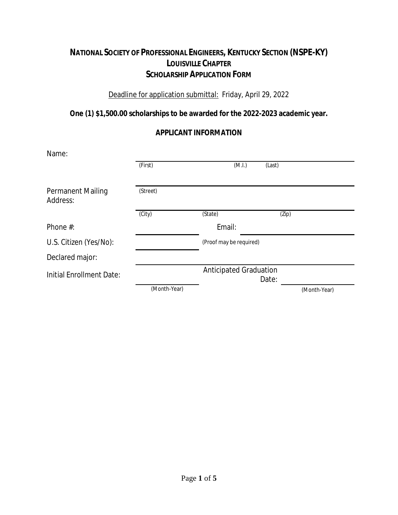## **NATIONAL SOCIETY OF PROFESSIONAL ENGINEERS, KENTUCKY SECTION (NSPE-KY) LOUISVILLE CHAPTER SCHOLARSHIP APPLICATION FORM**

### Deadline for application submittal: Friday, April 29, 2022

**One (1) \$1,500.00 scholarships to be awarded for the 2022-2023 academic year.**

### **APPLICANT INFORMATION**

| Name:                                |              |                               |        |              |
|--------------------------------------|--------------|-------------------------------|--------|--------------|
|                                      | (First)      | (M.I.)                        | (Last) |              |
| <b>Permanent Mailing</b><br>Address: | (Street)     |                               |        |              |
|                                      | (City)       | (State)                       | (Zip)  |              |
| Phone $#$ :                          |              | Email:                        |        |              |
| U.S. Citizen (Yes/No):               |              | (Proof may be required)       |        |              |
| Declared major:                      |              |                               |        |              |
| Initial Enrollment Date:             |              | <b>Anticipated Graduation</b> | Date:  |              |
|                                      | (Month-Year) |                               |        | (Month-Year) |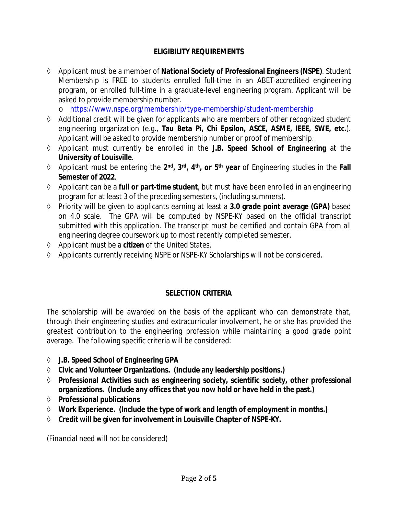## **ELIGIBILITY REQUIREMENTS**

- Applicant must be a member of **National Society of Professional Engineers (NSPE)**. Student Membership is FREE to students enrolled full-time in an ABET-accredited engineering program, or enrolled full-time in a graduate-level engineering program. Applicant will be asked to provide membership number.
	- o https://www.nspe.org/membership/type-membership/student-membership
- Additional credit will be given for applicants who are members of other recognized student engineering organization (e.g., **Tau Beta Pi, Chi Epsilon, ASCE, ASME, IEEE, SWE, etc.**). Applicant will be asked to provide membership number or proof of membership.
- Applicant must currently be enrolled in the **J.B. Speed School of Engineering** at the **University of Louisville**.
- $\lozenge$  Applicant must be entering the 2<sup>nd</sup>, 3<sup>rd</sup>, 4<sup>th</sup>, or 5<sup>th</sup> year of Engineering studies in the Fall **Semester of 2022**.
- Applicant can be a **full or part-time student**, but must have been enrolled in an engineering program for at least 3 of the preceding semesters, (including summers).
- Priority will be given to applicants earning at least a **3.0 grade point average (GPA)** based on 4.0 scale. The GPA will be computed by NSPE-KY based on the official transcript submitted with this application. The transcript must be certified and contain GPA from all engineering degree coursework up to most recently completed semester.
- Applicant must be a **citizen** of the United States.
- Applicants currently receiving NSPE or NSPE-KY Scholarships will not be considered.

## **SELECTION CRITERIA**

The scholarship will be awarded on the basis of the applicant who can demonstrate that, through their engineering studies and extracurricular involvement, he or she has provided the greatest contribution to the engineering profession while maintaining a good grade point average. The following specific criteria will be considered:

- **J.B. Speed School of Engineering GPA**
- **Civic and Volunteer Organizations. (Include any leadership positions.)**
- **Professional Activities such as engineering society, scientific society, other professional organizations. (Include any offices that you now hold or have held in the past.)**
- **Professional publications**
- **Work Experience. (Include the type of work and length of employment in months.)**
- **Credit will be given for involvement in Louisville Chapter of NSPE-KY.**

*(Financial need will not be considered)*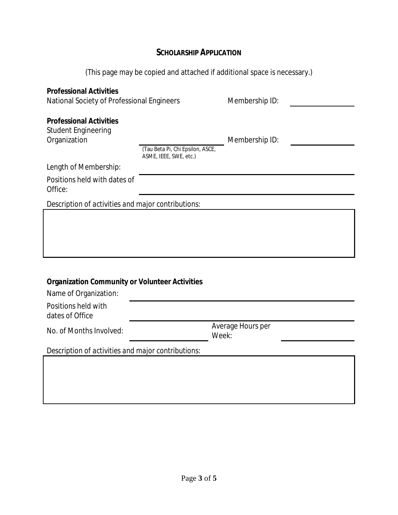# **SCHOLARSHIP APPLICATION**

# (This page may be copied and attached if additional space is necessary.)

| <b>Professional Activities</b><br>National Society of Professional Engineers |                                                            | Membership ID:             |  |  |  |
|------------------------------------------------------------------------------|------------------------------------------------------------|----------------------------|--|--|--|
| <b>Professional Activities</b><br><b>Student Engineering</b><br>Organization | (Tau Beta Pi, Chi Epsilon, ASCE,<br>ASME, IEEE, SWE, etc.) | Membership ID:             |  |  |  |
| Length of Membership:                                                        |                                                            |                            |  |  |  |
| Positions held with dates of<br>Office:                                      |                                                            |                            |  |  |  |
|                                                                              | Description of activities and major contributions:         |                            |  |  |  |
|                                                                              |                                                            |                            |  |  |  |
|                                                                              |                                                            |                            |  |  |  |
| Organization Community or Volunteer Activities<br>Name of Organization:      |                                                            |                            |  |  |  |
| Positions held with<br>dates of Office                                       |                                                            |                            |  |  |  |
| No. of Months Involved:                                                      |                                                            | Average Hours per<br>Week: |  |  |  |
| Description of activities and major contributions:                           |                                                            |                            |  |  |  |
|                                                                              |                                                            |                            |  |  |  |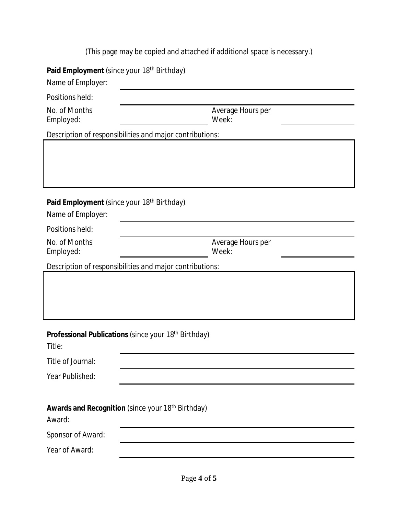(This page may be copied and attached if additional space is necessary.)

| Paid Employment (since your 18 <sup>th</sup> Birthday)<br>Name of Employer: |                            |  |  |  |  |
|-----------------------------------------------------------------------------|----------------------------|--|--|--|--|
| Positions held:                                                             |                            |  |  |  |  |
| No. of Months<br>Employed:                                                  | Average Hours per<br>Week: |  |  |  |  |
| Description of responsibilities and major contributions:                    |                            |  |  |  |  |
|                                                                             |                            |  |  |  |  |
| Paid Employment (since your 18 <sup>th</sup> Birthday)<br>Name of Employer: |                            |  |  |  |  |
| Positions held:                                                             |                            |  |  |  |  |
| No. of Months<br>Employed:                                                  | Average Hours per<br>Week: |  |  |  |  |
| Description of responsibilities and major contributions:                    |                            |  |  |  |  |
|                                                                             |                            |  |  |  |  |
| Professional Publications (since your 18 <sup>th</sup> Birthday)<br>Title:  |                            |  |  |  |  |
| Title of Journal:                                                           |                            |  |  |  |  |
| Year Published:                                                             |                            |  |  |  |  |
| Awards and Recognition (since your 18 <sup>th</sup> Birthday)<br>Award:     |                            |  |  |  |  |
| Sponsor of Award:                                                           |                            |  |  |  |  |
| Year of Award:                                                              |                            |  |  |  |  |